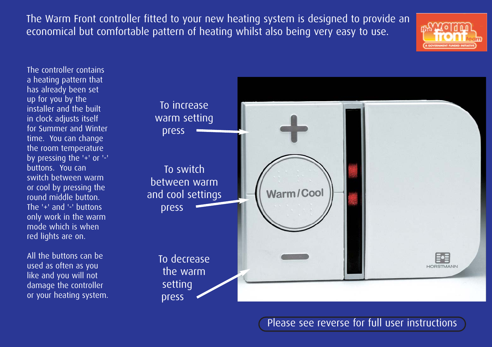The Warm Front controller fitted to your new heating system is designed to provide an economical but comfortable pattern of heating whilst also being very easy to use.



The controller contains a heating pattern that has already been set up for you by the installer and the built in clock adjusts itself for Summer and Winter time. You can change the room temperature by pressing the '+' or '-' buttons. You can switch between warm or cool by pressing the round middle button. The '+' and '-' buttons only work in the warm mode which is when red lights are on.

All the buttons can be used as often as you like and you will not damage the controller or your heating system.



Please see reverse for full user instructions